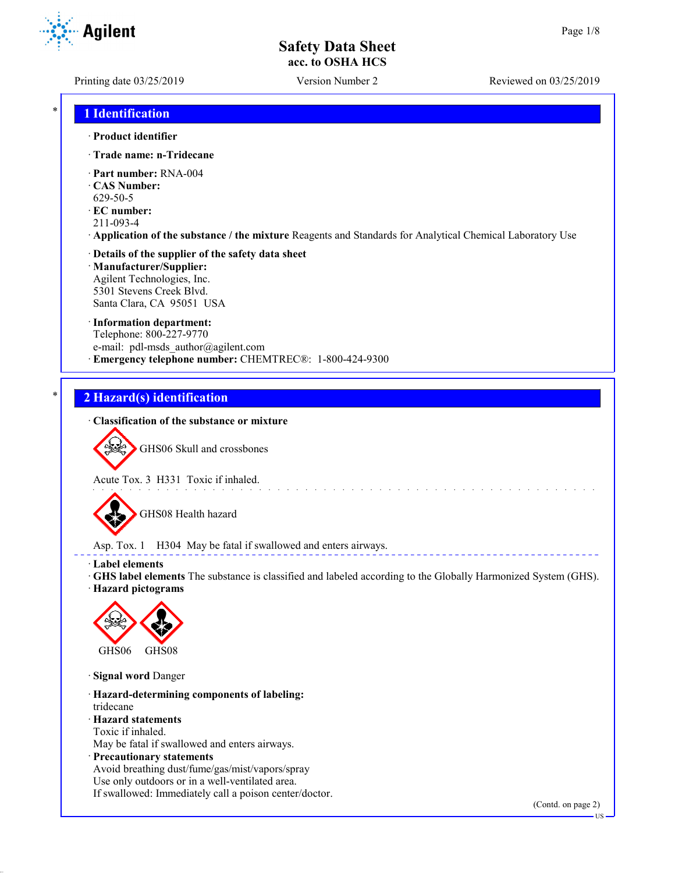**Agilent** 

Printing date 03/25/2019 Version Number 2 Reviewed on 03/25/2019

## \* **1 Identification**

#### · **Product identifier**

- · **Trade name: n-Tridecane**
- · **Part number:** RNA-004
- · **CAS Number:**
- 629-50-5
- · **EC number:**
- 211-093-4
- · **Application of the substance / the mixture** Reagents and Standards for Analytical Chemical Laboratory Use

#### · **Details of the supplier of the safety data sheet** · **Manufacturer/Supplier:**

Agilent Technologies, Inc. 5301 Stevens Creek Blvd. Santa Clara, CA 95051 USA

#### · **Information department:**

Telephone: 800-227-9770 e-mail: pdl-msds author@agilent.com · **Emergency telephone number:** CHEMTREC®: 1-800-424-9300

### \* **2 Hazard(s) identification**

#### · **Classification of the substance or mixture**



GHS06 Skull and crossbones

Acute Tox. 3 H331 Toxic if inhaled.



GHS08 Health hazard

Asp. Tox. 1 H304 May be fatal if swallowed and enters airways.

- · **Label elements**
- · **GHS label elements** The substance is classified and labeled according to the Globally Harmonized System (GHS).

and a straight and

· **Hazard pictograms**



· **Signal word** Danger

· **Hazard-determining components of labeling:** tridecane · **Hazard statements** Toxic if inhaled.

May be fatal if swallowed and enters airways.

· **Precautionary statements**

Avoid breathing dust/fume/gas/mist/vapors/spray Use only outdoors or in a well-ventilated area. If swallowed: Immediately call a poison center/doctor.

(Contd. on page 2)

US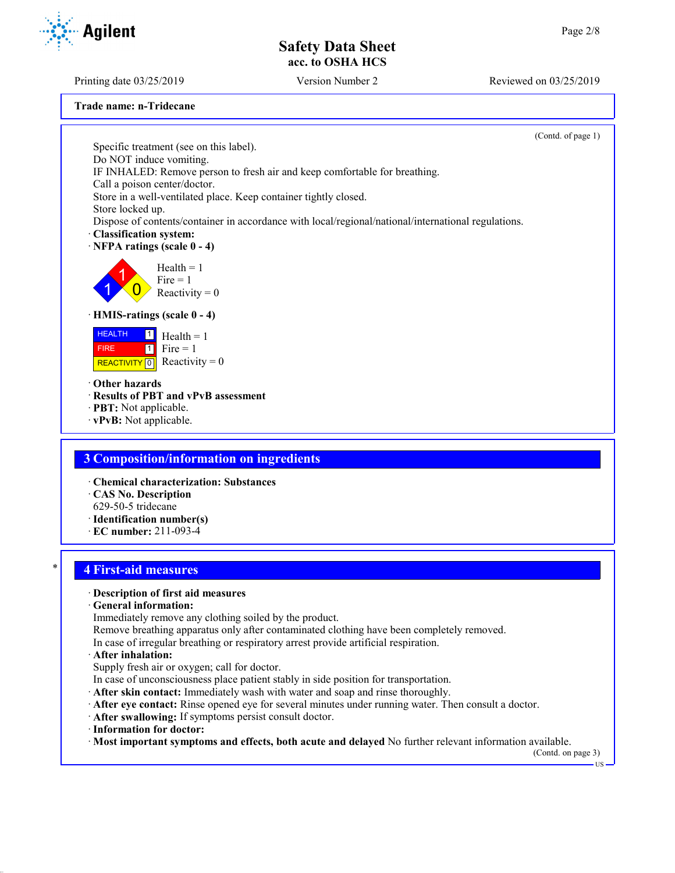Printing date 03/25/2019 Version Number 2 Reviewed on 03/25/2019

**Trade name: n-Tridecane** (Contd. of page 1) Specific treatment (see on this label). Do NOT induce vomiting. IF INHALED: Remove person to fresh air and keep comfortable for breathing. Call a poison center/doctor. Store in a well-ventilated place. Keep container tightly closed. Store locked up. Dispose of contents/container in accordance with local/regional/national/international regulations. · **Classification system:** · **NFPA ratings (scale 0 - 4)** 1 1  $\overline{0}$  $Health = 1$  $Fire = 1$ Reactivity  $= 0$ · **HMIS-ratings (scale 0 - 4)** HEALTH FIRE REACTIVITY  $\boxed{0}$  Reactivity = 0  $\vert$  1  $1$  Fire = 1  $Health = 1$ · **Other hazards** · **Results of PBT and vPvB assessment** · **PBT:** Not applicable. · **vPvB:** Not applicable. **3 Composition/information on ingredients** · **Chemical characterization: Substances** · **CAS No. Description** 629-50-5 tridecane · **Identification number(s)** · **EC number:** 211-093-4 \* **4 First-aid measures** · **Description of first aid measures** · **General information:** Immediately remove any clothing soiled by the product. Remove breathing apparatus only after contaminated clothing have been completely removed. In case of irregular breathing or respiratory arrest provide artificial respiration.

#### · **After inhalation:**

- Supply fresh air or oxygen; call for doctor.
- In case of unconsciousness place patient stably in side position for transportation.
- · **After skin contact:** Immediately wash with water and soap and rinse thoroughly.
- · **After eye contact:** Rinse opened eye for several minutes under running water. Then consult a doctor.
- · **After swallowing:** If symptoms persist consult doctor.
- · **Information for doctor:**
- · **Most important symptoms and effects, both acute and delayed** No further relevant information available.

(Contd. on page 3)

US

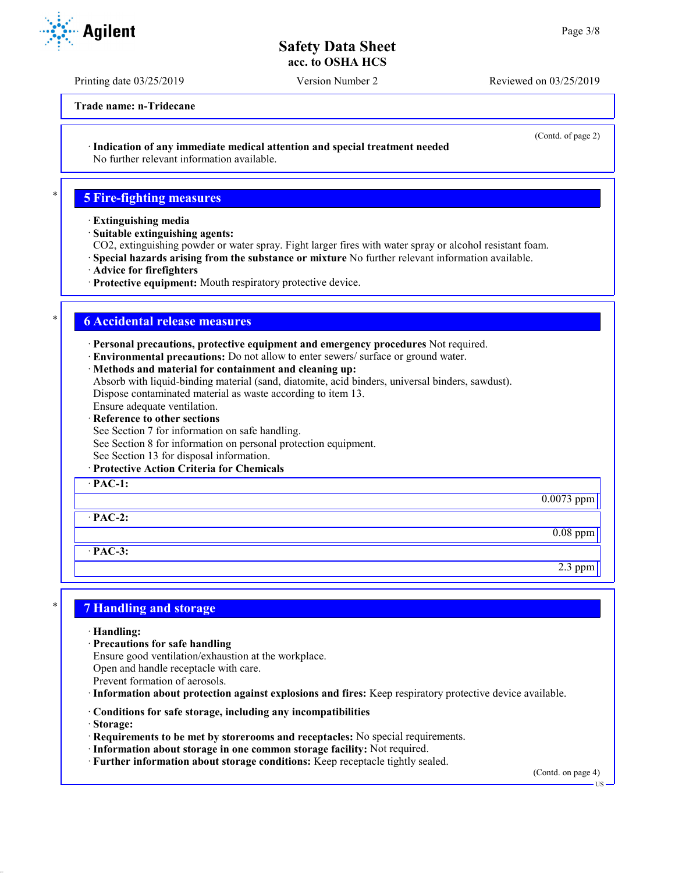Printing date 03/25/2019 Version Number 2 Reviewed on 03/25/2019

**Trade name: n-Tridecane**

(Contd. of page 2)

· **Indication of any immediate medical attention and special treatment needed**

No further relevant information available.

## \* **5 Fire-fighting measures**

- · **Extinguishing media**
- · **Suitable extinguishing agents:**

CO2, extinguishing powder or water spray. Fight larger fires with water spray or alcohol resistant foam.

- · **Special hazards arising from the substance or mixture** No further relevant information available.
- · **Advice for firefighters**
- · **Protective equipment:** Mouth respiratory protective device.

## \* **6 Accidental release measures**

· **Personal precautions, protective equipment and emergency procedures** Not required.

- · **Environmental precautions:** Do not allow to enter sewers/ surface or ground water.
- · **Methods and material for containment and cleaning up:**

Absorb with liquid-binding material (sand, diatomite, acid binders, universal binders, sawdust). Dispose contaminated material as waste according to item 13.

Ensure adequate ventilation.

- · **Reference to other sections**
- See Section 7 for information on safe handling.

See Section 8 for information on personal protection equipment.

See Section 13 for disposal information.

· **Protective Action Criteria for Chemicals**

· **PAC-1:**

· **PAC-2:**

· **PAC-3:**

## \* **7 Handling and storage**

- · **Handling:**
- · **Precautions for safe handling**
- Ensure good ventilation/exhaustion at the workplace.
- Open and handle receptacle with care.
- Prevent formation of aerosols.
- · **Information about protection against explosions and fires:** Keep respiratory protective device available.
- · **Conditions for safe storage, including any incompatibilities**
- · **Storage:**
- · **Requirements to be met by storerooms and receptacles:** No special requirements.
- · **Information about storage in one common storage facility:** Not required.
- · **Further information about storage conditions:** Keep receptacle tightly sealed.

(Contd. on page 4)

0.0073 ppm

0.08 ppm

2.3 ppm



US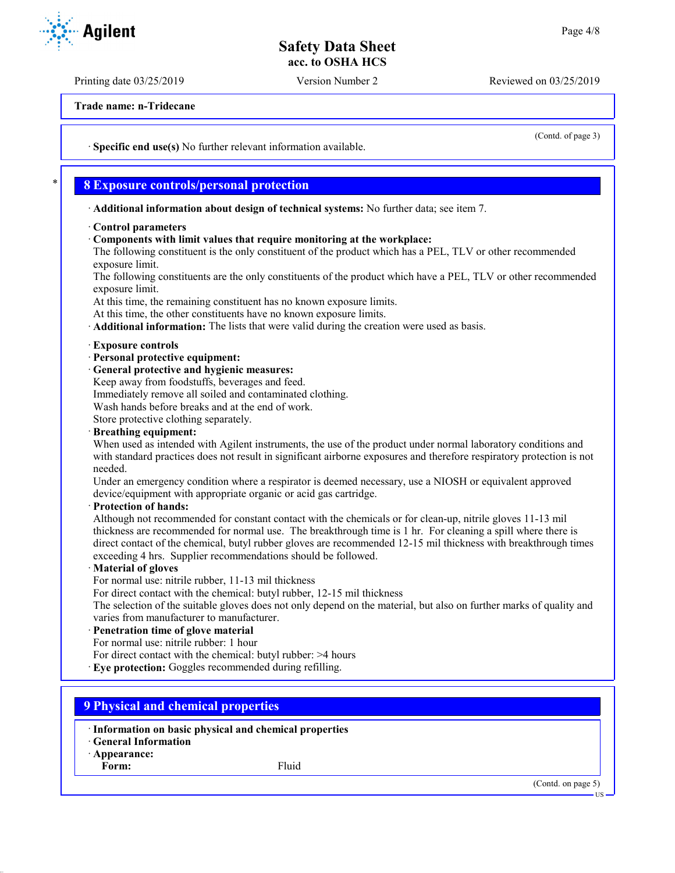Printing date 03/25/2019 Version Number 2 Reviewed on 03/25/2019

**Trade name: n-Tridecane**

· **Specific end use(s)** No further relevant information available.

### \* **8 Exposure controls/personal protection**

· **Additional information about design of technical systems:** No further data; see item 7.

- · **Control parameters**
- · **Components with limit values that require monitoring at the workplace:**

The following constituent is the only constituent of the product which has a PEL, TLV or other recommended exposure limit.

The following constituents are the only constituents of the product which have a PEL, TLV or other recommended exposure limit.

At this time, the remaining constituent has no known exposure limits.

At this time, the other constituents have no known exposure limits.

· **Additional information:** The lists that were valid during the creation were used as basis.

#### · **Exposure controls**

- · **Personal protective equipment:**
- · **General protective and hygienic measures:**

Keep away from foodstuffs, beverages and feed.

Immediately remove all soiled and contaminated clothing.

Wash hands before breaks and at the end of work.

Store protective clothing separately.

#### · **Breathing equipment:**

When used as intended with Agilent instruments, the use of the product under normal laboratory conditions and with standard practices does not result in significant airborne exposures and therefore respiratory protection is not needed.

Under an emergency condition where a respirator is deemed necessary, use a NIOSH or equivalent approved device/equipment with appropriate organic or acid gas cartridge.

#### · **Protection of hands:**

Although not recommended for constant contact with the chemicals or for clean-up, nitrile gloves 11-13 mil thickness are recommended for normal use. The breakthrough time is 1 hr. For cleaning a spill where there is direct contact of the chemical, butyl rubber gloves are recommended 12-15 mil thickness with breakthrough times exceeding 4 hrs. Supplier recommendations should be followed.

#### · **Material of gloves**

For normal use: nitrile rubber, 11-13 mil thickness

For direct contact with the chemical: butyl rubber, 12-15 mil thickness

The selection of the suitable gloves does not only depend on the material, but also on further marks of quality and varies from manufacturer to manufacturer.

#### · **Penetration time of glove material**

For normal use: nitrile rubber: 1 hour

For direct contact with the chemical: butyl rubber: >4 hours

· **Eye protection:** Goggles recommended during refilling.

### **9 Physical and chemical properties**

· **Information on basic physical and chemical properties**

· **General Information**

· **Appearance:**

Form: Fluid

(Contd. on page 5)

US



(Contd. of page 3)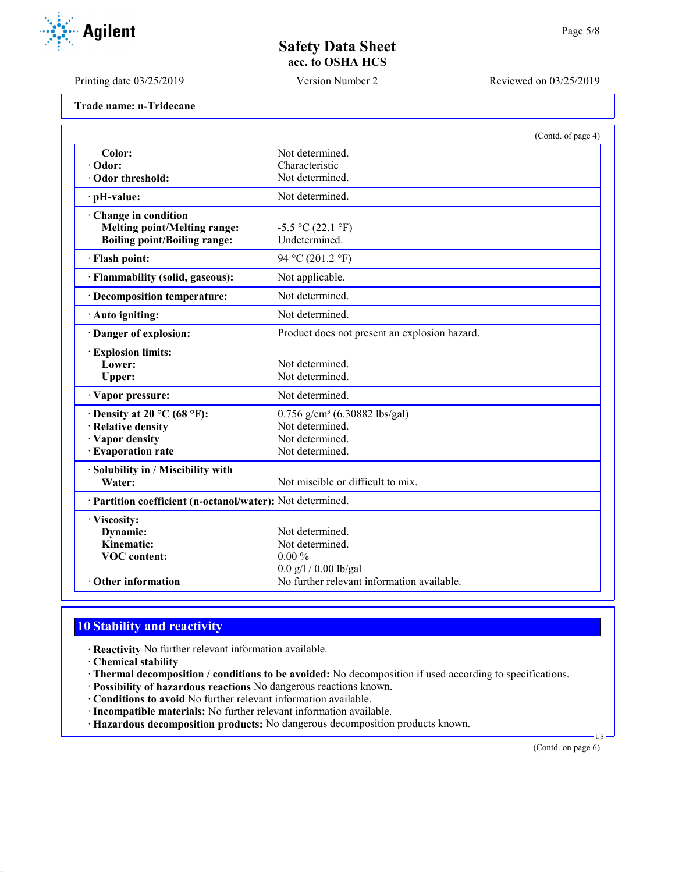Printing date 03/25/2019 Version Number 2 Reviewed on 03/25/2019

| Trade name: n-Tridecane |  |
|-------------------------|--|
|-------------------------|--|

|                                                            |                                               | (Contd. of page 4) |
|------------------------------------------------------------|-----------------------------------------------|--------------------|
| Color:                                                     | Not determined.                               |                    |
| · Odor:                                                    | Characteristic                                |                    |
| Odor threshold:                                            | Not determined.                               |                    |
| · pH-value:                                                | Not determined.                               |                    |
| Change in condition                                        |                                               |                    |
| <b>Melting point/Melting range:</b>                        | $-5.5$ °C (22.1 °F)                           |                    |
| <b>Boiling point/Boiling range:</b>                        | Undetermined.                                 |                    |
| · Flash point:                                             | 94 °C (201.2 °F)                              |                    |
| · Flammability (solid, gaseous):                           | Not applicable.                               |                    |
| · Decomposition temperature:                               | Not determined.                               |                    |
| · Auto igniting:                                           | Not determined.                               |                    |
| Danger of explosion:                                       | Product does not present an explosion hazard. |                    |
| <b>Explosion limits:</b>                                   |                                               |                    |
| Lower:                                                     | Not determined.                               |                    |
| Upper:                                                     | Not determined.                               |                    |
| · Vapor pressure:                                          | Not determined.                               |                    |
| $\cdot$ Density at 20 °C (68 °F):                          | $0.756$ g/cm <sup>3</sup> (6.30882 lbs/gal)   |                    |
| · Relative density                                         | Not determined.                               |                    |
| · Vapor density                                            | Not determined.                               |                    |
| <b>Evaporation rate</b>                                    | Not determined.                               |                    |
| · Solubility in / Miscibility with                         |                                               |                    |
| Water:                                                     | Not miscible or difficult to mix.             |                    |
| · Partition coefficient (n-octanol/water): Not determined. |                                               |                    |
| · Viscosity:                                               |                                               |                    |
| Dynamic:                                                   | Not determined.                               |                    |
| Kinematic:                                                 | Not determined.                               |                    |
| <b>VOC</b> content:                                        | $0.00\%$                                      |                    |
|                                                            | $0.0$ g/l / 0.00 lb/gal                       |                    |
| Other information                                          | No further relevant information available.    |                    |

## **10 Stability and reactivity**

· **Reactivity** No further relevant information available.

- · **Chemical stability**
- · **Thermal decomposition / conditions to be avoided:** No decomposition if used according to specifications.
- · **Possibility of hazardous reactions** No dangerous reactions known.
- · **Conditions to avoid** No further relevant information available.
- · **Incompatible materials:** No further relevant information available.
- · **Hazardous decomposition products:** No dangerous decomposition products known.

(Contd. on page 6)

US

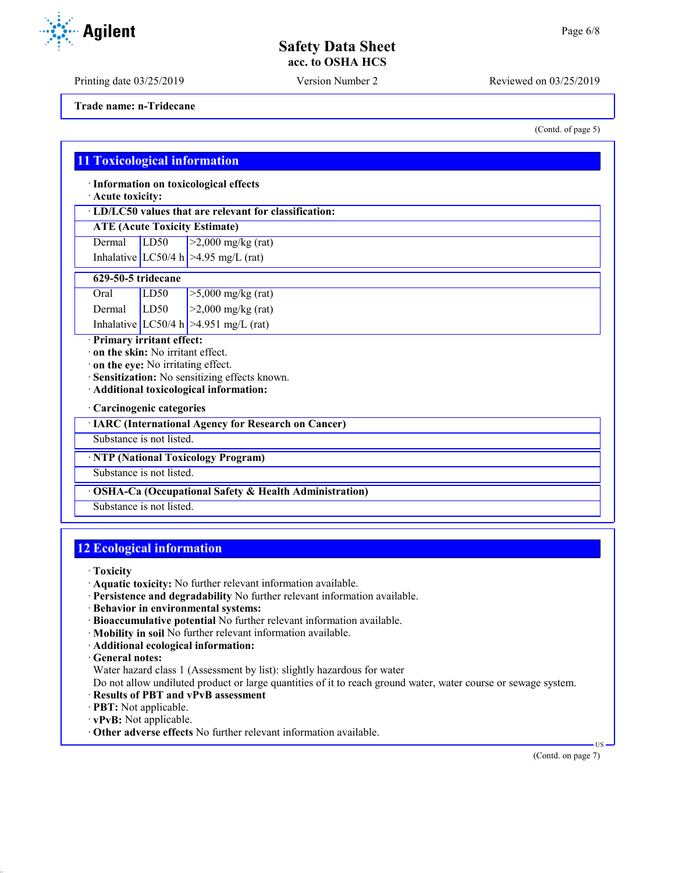Printing date 03/25/2019 Version Number 2 Reviewed on 03/25/2019

**Trade name: n-Tridecane**

## **11 Toxicological information**

· **Information on toxicological effects**

· **Acute toxicity:**

· **LD/LC50 values that are relevant for classification:**

## **ATE (Acute Toxicity Estimate)**

Dermal  $LD50$   $>2,000$  mg/kg (rat) Inhalative LC50/4 h  $>4.95$  mg/L (rat)

#### **629-50-5 tridecane**

| Oral   | LD50 | $\sqrt{5,000 \text{ mg/kg}}$ (rat)      |
|--------|------|-----------------------------------------|
| Dermal | LD50 | $\geq$ 2,000 mg/kg (rat)                |
|        |      | Inhalative $LC50/4 h$ >4.951 mg/L (rat) |

· **Primary irritant effect:**

· **on the skin:** No irritant effect.

· **on the eye:** No irritating effect.

· **Sensitization:** No sensitizing effects known.

· **Additional toxicological information:**

### · **Carcinogenic categories**

· **IARC (International Agency for Research on Cancer)**

Substance is not listed.

· **NTP (National Toxicology Program)**

Substance is not listed.

· **OSHA-Ca (Occupational Safety & Health Administration)**

Substance is not listed.

## **12 Ecological information**

· **Toxicity**

- · **Aquatic toxicity:** No further relevant information available.
- · **Persistence and degradability** No further relevant information available.
- · **Behavior in environmental systems:**
- · **Bioaccumulative potential** No further relevant information available.
- · **Mobility in soil** No further relevant information available.
- · **Additional ecological information:**

· **General notes:**

Water hazard class 1 (Assessment by list): slightly hazardous for water

Do not allow undiluted product or large quantities of it to reach ground water, water course or sewage system.

- · **Results of PBT and vPvB assessment**
- · **PBT:** Not applicable.
- · **vPvB:** Not applicable.
- · **Other adverse effects** No further relevant information available.

(Contd. on page 7)

US



(Contd. of page 5)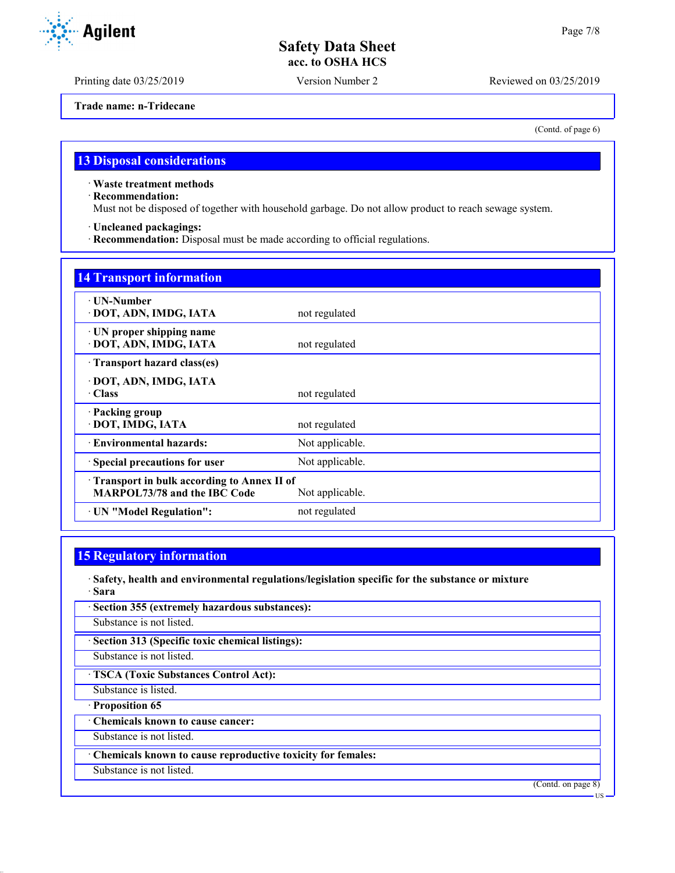Printing date 03/25/2019 Version Number 2 Reviewed on 03/25/2019

**Trade name: n-Tridecane**

(Contd. of page 6)

## **13 Disposal considerations**

· **Waste treatment methods**

· **Recommendation:**

Must not be disposed of together with household garbage. Do not allow product to reach sewage system.

· **Uncleaned packagings:**

· **Recommendation:** Disposal must be made according to official regulations.

| <b>14 Transport information</b>                                                   |                 |
|-----------------------------------------------------------------------------------|-----------------|
| $\cdot$ UN-Number<br>· DOT, ADN, IMDG, IATA                                       | not regulated   |
| · UN proper shipping name<br>· DOT, ADN, IMDG, IATA                               | not regulated   |
| Transport hazard class(es)                                                        |                 |
| · DOT, ADN, IMDG, IATA<br>· Class                                                 | not regulated   |
| · Packing group<br>· DOT, IMDG, IATA                                              | not regulated   |
| · Environmental hazards:                                                          | Not applicable. |
| · Special precautions for user                                                    | Not applicable. |
| Transport in bulk according to Annex II of<br><b>MARPOL73/78 and the IBC Code</b> | Not applicable. |
| · UN "Model Regulation":                                                          | not regulated   |

## **15 Regulatory information**

· **Safety, health and environmental regulations/legislation specific for the substance or mixture** · **Sara**

| · Section 355 (extremely hazardous substances):             |
|-------------------------------------------------------------|
| Substance is not listed.                                    |
| · Section 313 (Specific toxic chemical listings):           |
| Substance is not listed.                                    |
| · TSCA (Toxic Substances Control Act):                      |
| Substance is listed.                                        |
| · Proposition 65                                            |
| Chemicals known to cause cancer:                            |
| Substance is not listed.                                    |
| Chemicals known to cause reproductive toxicity for females: |
| Substance is not listed.                                    |
| (Contd. on page 8)                                          |
| -US                                                         |